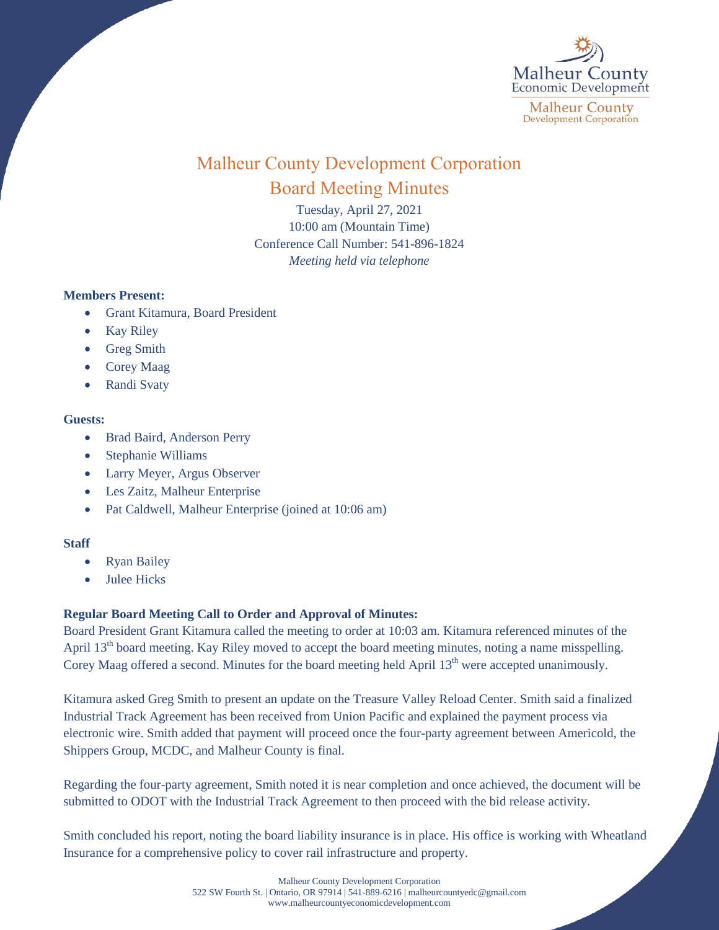

# Malheur County Development Corporation Board Meeting Minutes

Tuesday, April 27, 2021 10:00 am (Mountain Time) Conference Call Number: 541-896-1824 *Meeting held via telephone*

# **Members Present:**

- Grant Kitamura, Board President
- Kay Riley
- Greg Smith
- Corey Maag
- Randi Svaty

### **Guests:**

- Brad Baird, Anderson Perry
- Stephanie Williams
- Larry Meyer, Argus Observer
- Les Zaitz, Malheur Enterprise
- Pat Caldwell, Malheur Enterprise (joined at 10:06 am)

# **Staff**

- Ryan Bailey
- Julee Hicks

# **Regular Board Meeting Call to Order and Approval of Minutes:**

Board President Grant Kitamura called the meeting to order at 10:03 am. Kitamura referenced minutes of the April 13<sup>th</sup> board meeting. Kay Riley moved to accept the board meeting minutes, noting a name misspelling. Corey Maag offered a second. Minutes for the board meeting held April 13<sup>th</sup> were accepted unanimously.

Kitamura asked Greg Smith to present an update on the Treasure Valley Reload Center. Smith said a finalized Industrial Track Agreement has been received from Union Pacific and explained the payment process via electronic wire. Smith added that payment will proceed once the four-party agreement between Americold, the Shippers Group, MCDC, and Malheur County is final.

Regarding the four-party agreement, Smith noted it is near completion and once achieved, the document will be submitted to ODOT with the Industrial Track Agreement to then proceed with the bid release activity.

Smith concluded his report, noting the board liability insurance is in place. His office is working with Wheatland Insurance for a comprehensive policy to cover rail infrastructure and property.